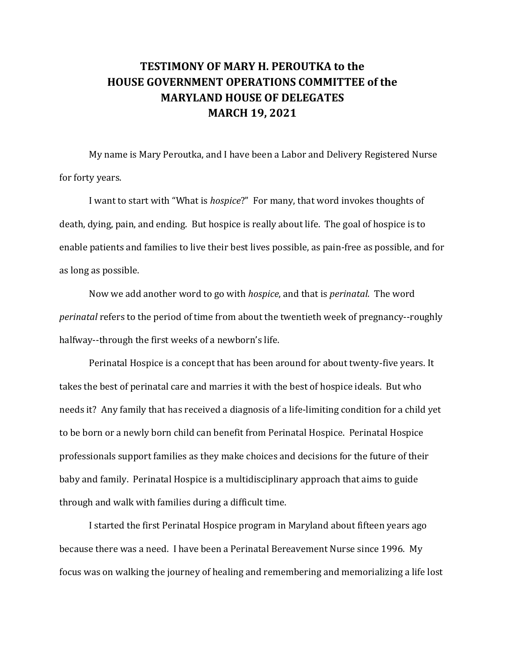## **TESTIMONY OF MARY H. PEROUTKA to the HOUSE GOVERNMENT OPERATIONS COMMITTEE of the MARYLAND HOUSE OF DELEGATES MARCH 19, 2021**

My name is Mary Peroutka, and I have been a Labor and Delivery Registered Nurse for forty years.

I want to start with "What is *hospice*?" For many, that word invokes thoughts of death, dying, pain, and ending. But hospice is really about life. The goal of hospice is to enable patients and families to live their best lives possible, as pain-free as possible, and for as long as possible.

Now we add another word to go with *hospice*, and that is *perinatal*. The word *perinatal* refers to the period of time from about the twentieth week of pregnancy--roughly halfway--through the first weeks of a newborn's life.

Perinatal Hospice is a concept that has been around for about twenty-five years. It takes the best of perinatal care and marries it with the best of hospice ideals. But who needs it? Any family that has received a diagnosis of a life-limiting condition for a child yet to be born or a newly born child can benefit from Perinatal Hospice. Perinatal Hospice professionals support families as they make choices and decisions for the future of their baby and family. Perinatal Hospice is a multidisciplinary approach that aims to guide through and walk with families during a difficult time.

I started the first Perinatal Hospice program in Maryland about fifteen years ago because there was a need. I have been a Perinatal Bereavement Nurse since 1996. My focus was on walking the journey of healing and remembering and memorializing a life lost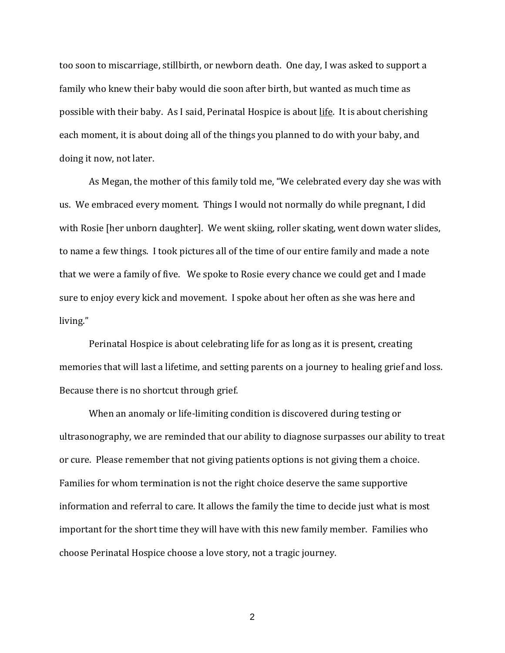too soon to miscarriage, stillbirth, or newborn death. One day, I was asked to support a family who knew their baby would die soon after birth, but wanted as much time as possible with their baby. As I said, Perinatal Hospice is about life. It is about cherishing each moment, it is about doing all of the things you planned to do with your baby, and doing it now, not later.

As Megan, the mother of this family told me, "We celebrated every day she was with us. We embraced every moment. Things I would not normally do while pregnant, I did with Rosie [her unborn daughter]. We went skiing, roller skating, went down water slides, to name a few things. I took pictures all of the time of our entire family and made a note that we were a family of five. We spoke to Rosie every chance we could get and I made sure to enjoy every kick and movement. I spoke about her often as she was here and living."

Perinatal Hospice is about celebrating life for as long as it is present, creating memories that will last a lifetime, and setting parents on a journey to healing grief and loss. Because there is no shortcut through grief.

When an anomaly or life-limiting condition is discovered during testing or ultrasonography, we are reminded that our ability to diagnose surpasses our ability to treat or cure. Please remember that not giving patients options is not giving them a choice. Families for whom termination is not the right choice deserve the same supportive information and referral to care. It allows the family the time to decide just what is most important for the short time they will have with this new family member. Families who choose Perinatal Hospice choose a love story, not a tragic journey.

2